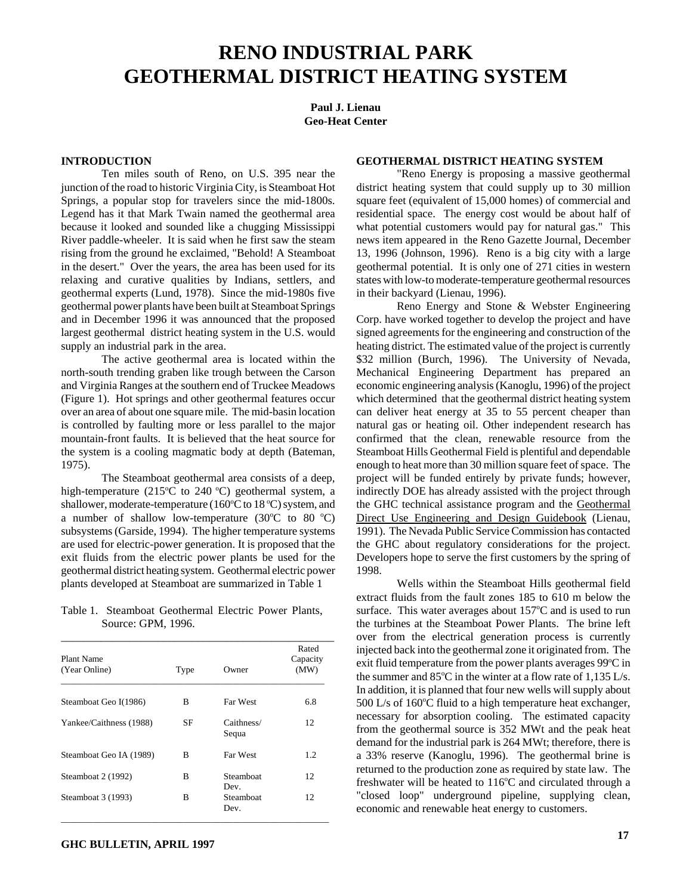## **RENO INDUSTRIAL PARK GEOTHERMAL DISTRICT HEATING SYSTEM**

**Paul J. Lienau Geo-Heat Center**

## **INTRODUCTION**

Ten miles south of Reno, on U.S. 395 near the junction of the road to historic Virginia City, is Steamboat Hot Springs, a popular stop for travelers since the mid-1800s. Legend has it that Mark Twain named the geothermal area because it looked and sounded like a chugging Mississippi River paddle-wheeler. It is said when he first saw the steam rising from the ground he exclaimed, "Behold! A Steamboat in the desert." Over the years, the area has been used for its relaxing and curative qualities by Indians, settlers, and geothermal experts (Lund, 1978). Since the mid-1980s five geothermal power plants have been built at Steamboat Springs and in December 1996 it was announced that the proposed largest geothermal district heating system in the U.S. would supply an industrial park in the area.

The active geothermal area is located within the north-south trending graben like trough between the Carson and Virginia Ranges at the southern end of Truckee Meadows (Figure 1). Hot springs and other geothermal features occur over an area of about one square mile. The mid-basin location is controlled by faulting more or less parallel to the major mountain-front faults. It is believed that the heat source for the system is a cooling magmatic body at depth (Bateman, 1975).

The Steamboat geothermal area consists of a deep, high-temperature (215°C to 240 °C) geothermal system, a shallower, moderate-temperature (160°C to 18 °C) system, and a number of shallow low-temperature (30 $^{\circ}$ C to 80 $^{\circ}$ C) subsystems (Garside, 1994). The higher temperature systems are used for electric-power generation. It is proposed that the exit fluids from the electric power plants be used for the geothermal district heating system. Geothermal electric power plants developed at Steamboat are summarized in Table 1

Table 1. Steamboat Geothermal Electric Power Plants, Source: GPM, 1996.

| Plant Name<br>(Year Online) | Type | Owner               | Rated<br>Capacity<br>(MW) |
|-----------------------------|------|---------------------|---------------------------|
| Steamboat Geo I(1986)       | B    | Far West            | 6.8                       |
| Yankee/Caithness (1988)     | SF   | Caithness/<br>Sequa | 12                        |
| Steamboat Geo IA (1989)     | B    | Far West            | 1.2                       |
| Steamboat 2 (1992)          | B    | Steamboat<br>Dev.   | 12                        |
| Steamboat 3 (1993)          | B    | Steamboat<br>Dev.   | 12                        |

## **GEOTHERMAL DISTRICT HEATING SYSTEM**

"Reno Energy is proposing a massive geothermal district heating system that could supply up to 30 million square feet (equivalent of 15,000 homes) of commercial and residential space. The energy cost would be about half of what potential customers would pay for natural gas." This news item appeared in the Reno Gazette Journal, December 13, 1996 (Johnson, 1996). Reno is a big city with a large geothermal potential. It is only one of 271 cities in western states with low-to moderate-temperature geothermal resources in their backyard (Lienau, 1996).

Reno Energy and Stone & Webster Engineering Corp. have worked together to develop the project and have signed agreements for the engineering and construction of the heating district. The estimated value of the project is currently \$32 million (Burch, 1996). The University of Nevada, Mechanical Engineering Department has prepared an economic engineering analysis (Kanoglu, 1996) of the project which determined that the geothermal district heating system can deliver heat energy at 35 to 55 percent cheaper than natural gas or heating oil. Other independent research has confirmed that the clean, renewable resource from the Steamboat Hills Geothermal Field is plentiful and dependable enough to heat more than 30 million square feet of space. The project will be funded entirely by private funds; however, indirectly DOE has already assisted with the project through the GHC technical assistance program and the Geothermal Direct Use Engineering and Design Guidebook (Lienau, 1991). The Nevada Public Service Commission has contacted the GHC about regulatory considerations for the project. Developers hope to serve the first customers by the spring of 1998.

Wells within the Steamboat Hills geothermal field extract fluids from the fault zones 185 to 610 m below the surface. This water averages about  $157^{\circ}$ C and is used to run the turbines at the Steamboat Power Plants. The brine left over from the electrical generation process is currently injected back into the geothermal zone it originated from. The exit fluid temperature from the power plants averages 99°C in the summer and  $85^{\circ}$ C in the winter at a flow rate of 1,135 L/s. In addition, it is planned that four new wells will supply about 500 L/s of  $160^{\circ}$ C fluid to a high temperature heat exchanger, necessary for absorption cooling. The estimated capacity from the geothermal source is 352 MWt and the peak heat demand for the industrial park is 264 MWt; therefore, there is a 33% reserve (Kanoglu, 1996). The geothermal brine is returned to the production zone as required by state law. The freshwater will be heated to  $116^{\circ}$ C and circulated through a "closed loop" underground pipeline, supplying clean, economic and renewable heat energy to customers.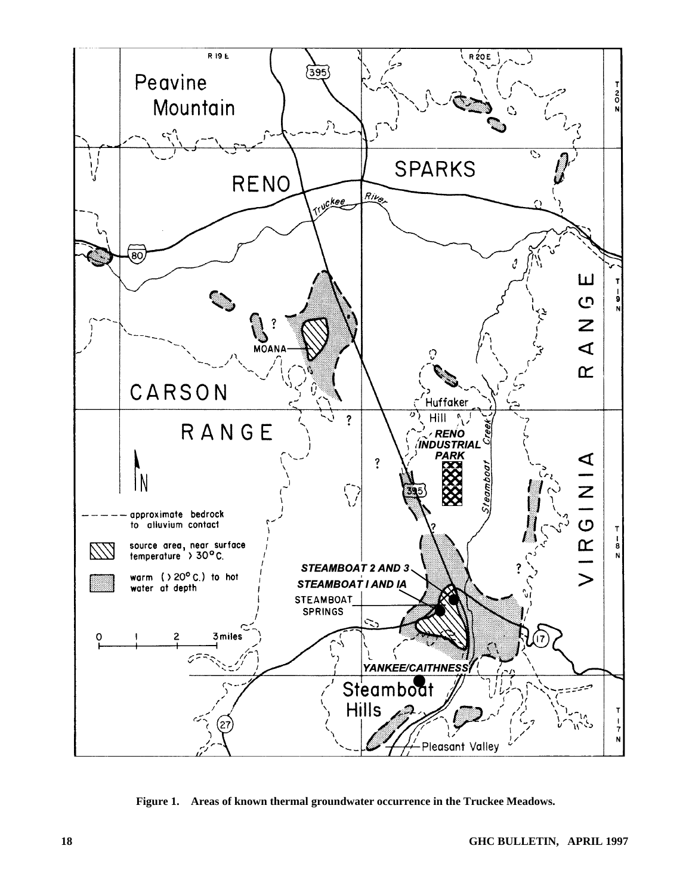

**Figure 1. Areas of known thermal groundwater occurrence in the Truckee Meadows.**